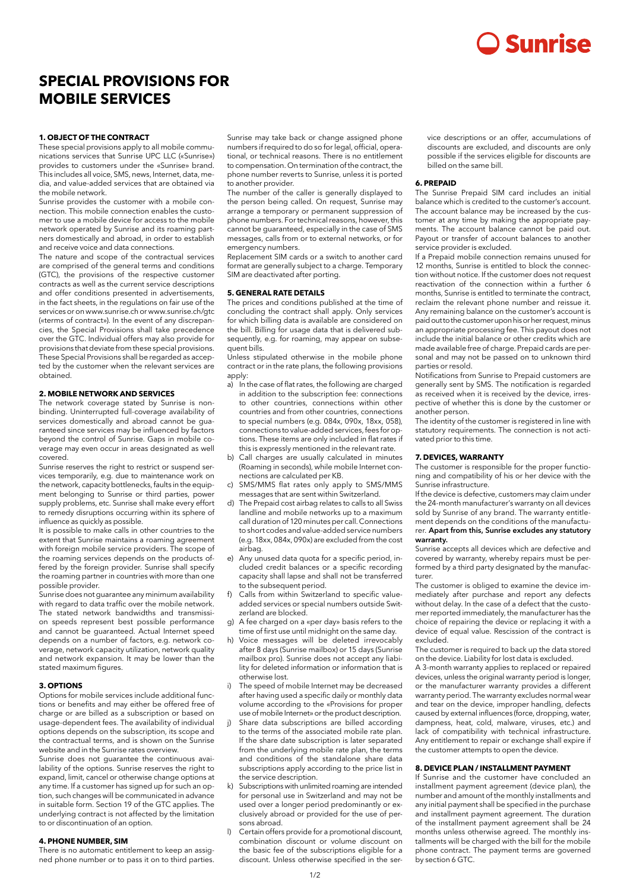# **2 Sunrise**

# **SPECIAL PROVISIONS FOR MOBILE SERVICES**

# **1. OBJECT OF THE CONTRACT**

These special provisions apply to all mobile communications services that Sunrise UPC LLC («Sunrise») provides to customers under the «Sunrise» brand. This includes all voice, SMS, news, Internet, data, media, and value-added services that are obtained via the mobile network.

Sunrise provides the customer with a mobile connection. This mobile connection enables the customer to use a mobile device for access to the mobile network operated by Sunrise and its roaming partners domestically and abroad, in order to establish and receive voice and data connections.

The nature and scope of the contractual services are comprised of the general terms and conditions (GTC), the provisions of the respective customer contracts as well as the current service descriptions and offer conditions presented in advertisements, in the fact sheets, in the regulations on fair use of the services or on www.sunrise.ch or www.sunrise.ch/gtc («terms of contract»). In the event of any discrepancies, the Special Provisions shall take precedence over the GTC. Individual offers may also provide for provisions that deviate from these special provisions. These Special Provisions shall be regarded as accepted by the customer when the relevant services are obtained.

# **2. MOBILE NETWORK AND SERVICES**

The network coverage stated by Sunrise is nonbinding. Uninterrupted full-coverage availability of services domestically and abroad cannot be guaranteed since services may be influenced by factors beyond the control of Sunrise. Gaps in mobile coverage may even occur in areas designated as well covered.

Sunrise reserves the right to restrict or suspend services temporarily, e.g. due to maintenance work on the network, capacity bottlenecks, faults in the equipment belonging to Sunrise or third parties, power supply problems, etc. Sunrise shall make every effort to remedy disruptions occurring within its sphere of influence as quickly as possible.

It is possible to make calls in other countries to the extent that Sunrise maintains a roaming agreement with foreign mobile service providers. The scope of the roaming services depends on the products offered by the foreign provider. Sunrise shall specify the roaming partner in countries with more than one possible provider.

Sunrise does not guarantee any minimum availability with regard to data traffic over the mobile network. The stated network bandwidths and transmission speeds represent best possible performance and cannot be guaranteed. Actual Internet speed depends on a number of factors, e.g. network coverage, network capacity utilization, network quality and network expansion. It may be lower than the stated maximum figures.

# **3. OPTIONS**

Options for mobile services include additional functions or benefits and may either be offered free of charge or are billed as a subscription or based on usage-dependent fees. The availability of individual options depends on the subscription, its scope and the contractual terms, and is shown on the Sunrise website and in the Sunrise rates overview.

Sunrise does not guarantee the continuous availability of the options. Sunrise reserves the right to expand, limit, cancel or otherwise change options at any time. If a customer has signed up for such an option, such changes will be communicated in advance in suitable form. Section 19 of the GTC applies. The underlying contract is not affected by the limitation to or discontinuation of an option.

# **4. PHONE NUMBER, SIM**

There is no automatic entitlement to keep an assigned phone number or to pass it on to third parties. Sunrise may take back or change assigned phone numbers if required to do so for legal, official, operational, or technical reasons. There is no entitlement to compensation. On termination of the contract, the phone number reverts to Sunrise, unless it is ported to another provider.

The number of the caller is generally displayed to the person being called. On request, Sunrise may arrange a temporary or permanent suppression of phone numbers. For technical reasons, however, this cannot be guaranteed, especially in the case of SMS messages, calls from or to external networks, or for emergency numbers.

Replacement SIM cards or a switch to another card format are generally subject to a charge. Temporary SIM are deactivated after porting.

## **5. GENERAL RATE DETAILS**

The prices and conditions published at the time of concluding the contract shall apply. Only services for which billing data is available are considered on the bill. Billing for usage data that is delivered subsequently, e.g. for roaming, may appear on subsequent bills.

Unless stipulated otherwise in the mobile phone contract or in the rate plans, the following provisions apply:

- a) In the case of flat rates, the following are charged in addition to the subscription fee: connections to other countries, connections within other countries and from other countries, connections to special numbers (e.g. 084x, 090x, 18xx, 058), connections to value-added services, fees for options. These items are only included in flat rates if this is expressly mentioned in the relevant rate.
- b) Call charges are usually calculated in minutes (Roaming in seconds), while mobile Internet connections are calculated per KB.
- SMS/MMS flat rates only apply to SMS/MMS messages that are sent within Switzerland.
- d) The Prepaid cost airbag relates to calls to all Swiss landline and mobile networks up to a maximum call duration of 120 minutes per call. Connections to short codes and value-added service numbers (e.g. 18xx, 084x, 090x) are excluded from the cost airbag.
- e) Any unused data quota for a specific period, included credit balances or a specific recording capacity shall lapse and shall not be transferred to the subsequent period.
- f) Calls from within Switzerland to specific valueadded services or special numbers outside Switzerland are blocked.
- g) A fee charged on a «per day» basis refers to the time of first use until midnight on the same day.
- h) Voice messages will be deleted irrevocably after 8 days (Sunrise mailbox) or 15 days (Sunrise mailbox pro). Sunrise does not accept any liability for deleted information or information that is otherwise lost.
- The speed of mobile Internet may be decreased after having used a specific daily or monthly data volume according to the «Provisions for proper use of mobile Internet» or the product description.
- Share data subscriptions are billed according to the terms of the associated mobile rate plan. If the share date subscription is later separated from the underlying mobile rate plan, the terms and conditions of the standalone share data subscriptions apply according to the price list in the service description.
- k) Subscriptions with unlimited roaming are intended for personal use in Switzerland and may not be used over a longer period predominantly or exclusively abroad or provided for the use of persons abroad.
- l) Certain offers provide for a promotional discount. combination discount or volume discount on the basic fee of the subscriptions eligible for a discount. Unless otherwise specified in the ser-

vice descriptions or an offer, accumulations of discounts are excluded, and discounts are only possible if the services eligible for discounts are billed on the same bill.

# **6. PREPAID**

The Sunrise Prepaid SIM card includes an initial balance which is credited to the customer's account. The account balance may be increased by the customer at any time by making the appropriate payments. The account balance cannot be paid out. Payout or transfer of account balances to another service provider is excluded.

If a Prepaid mobile connection remains unused for 12 months, Sunrise is entitled to block the connection without notice. If the customer does not request reactivation of the connection within a further 6 months, Sunrise is entitled to terminate the contract, reclaim the relevant phone number and reissue it. Any remaining balance on the customer's account is paid out to the customer upon his or her request, minus an appropriate processing fee. This payout does not include the initial balance or other credits which are made available free of charge. Prepaid cards are personal and may not be passed on to unknown third parties or resold.

Notifications from Sunrise to Prepaid customers are generally sent by SMS. The notification is regarded as received when it is received by the device, irrespective of whether this is done by the customer or another person.

The identity of the customer is registered in line with statutory requirements. The connection is not activated prior to this time.

## **7. DEVICES, WARRANTY**

The customer is responsible for the proper functioning and compatibility of his or her device with the Sunrise infrastructure.

If the device is defective, customers may claim under the 24-month manufacturer's warranty on all devices sold by Sunrise of any brand. The warranty entitlement depends on the conditions of the manufactu-

# rer. Apart from this, Sunrise excludes any statutory warranty.

Sunrise accepts all devices which are defective and covered by warranty, whereby repairs must be performed by a third party designated by the manufacturer.

The customer is obliged to examine the device immediately after purchase and report any defects without delay. In the case of a defect that the customer reported immediately, the manufacturer has the choice of repairing the device or replacing it with a device of equal value. Rescission of the contract is excluded.

The customer is required to back up the data stored on the device. Liability for lost data is excluded.

A 3-month warranty applies to replaced or repaired devices, unless the original warranty period is longer, or the manufacturer warranty provides a different warranty period. The warranty excludes normal wear and tear on the device, improper handling, defects caused by external influences (force, dropping, water, dampness, heat, cold, malware, viruses, etc.) and lack of compatibility with technical infrastructure. Any entitlement to repair or exchange shall expire if the customer attempts to open the device.

# **8. DEVICE PLAN / INSTALLMENT PAYMENT**

If Sunrise and the customer have concluded an installment payment agreement (device plan), the number and amount of the monthly installments and any initial payment shall be specified in the purchase and installment payment agreement. The duration of the installment payment agreement shall be 24 months unless otherwise agreed. The monthly installments will be charged with the bill for the mobile phone contract. The payment terms are governed by section 6 GTC.